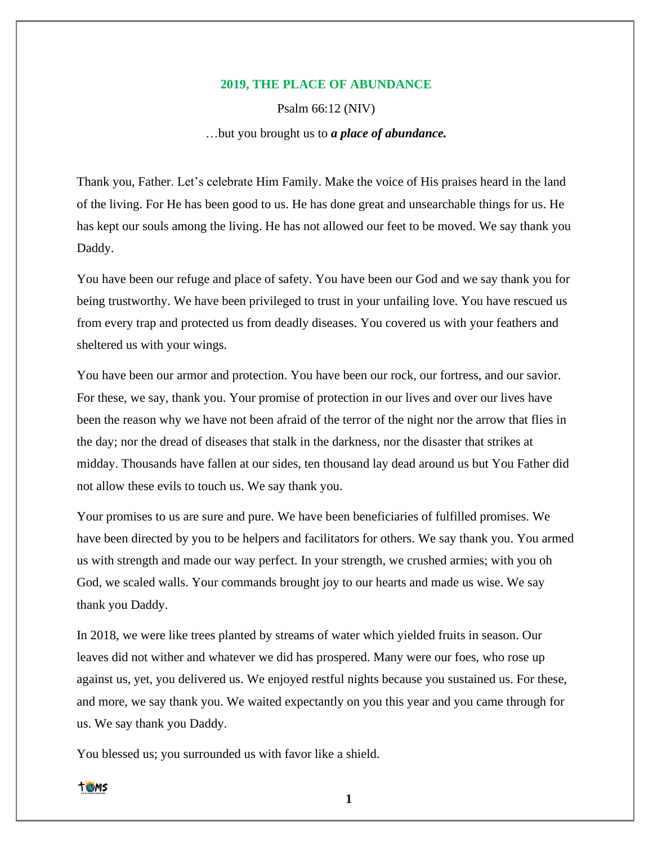## **2019, THE PLACE OF ABUNDANCE**

Psalm 66:12 (NIV)

…but you brought us to *a place of abundance.*

Thank you, Father. Let's celebrate Him Family. Make the voice of His praises heard in the land of the living. For He has been good to us. He has done great and unsearchable things for us. He has kept our souls among the living. He has not allowed our feet to be moved. We say thank you Daddy.

You have been our refuge and place of safety. You have been our God and we say thank you for being trustworthy. We have been privileged to trust in your unfailing love. You have rescued us from every trap and protected us from deadly diseases. You covered us with your feathers and sheltered us with your wings.

You have been our armor and protection. You have been our rock, our fortress, and our savior. For these, we say, thank you. Your promise of protection in our lives and over our lives have been the reason why we have not been afraid of the terror of the night nor the arrow that flies in the day; nor the dread of diseases that stalk in the darkness, nor the disaster that strikes at midday. Thousands have fallen at our sides, ten thousand lay dead around us but You Father did not allow these evils to touch us. We say thank you.

Your promises to us are sure and pure. We have been beneficiaries of fulfilled promises. We have been directed by you to be helpers and facilitators for others. We say thank you. You armed us with strength and made our way perfect. In your strength, we crushed armies; with you oh God, we scaled walls. Your commands brought joy to our hearts and made us wise. We say thank you Daddy.

In 2018, we were like trees planted by streams of water which yielded fruits in season. Our leaves did not wither and whatever we did has prospered. Many were our foes, who rose up against us, yet, you delivered us. We enjoyed restful nights because you sustained us. For these, and more, we say thank you. We waited expectantly on you this year and you came through for us. We say thank you Daddy.

You blessed us; you surrounded us with favor like a shield.



**1**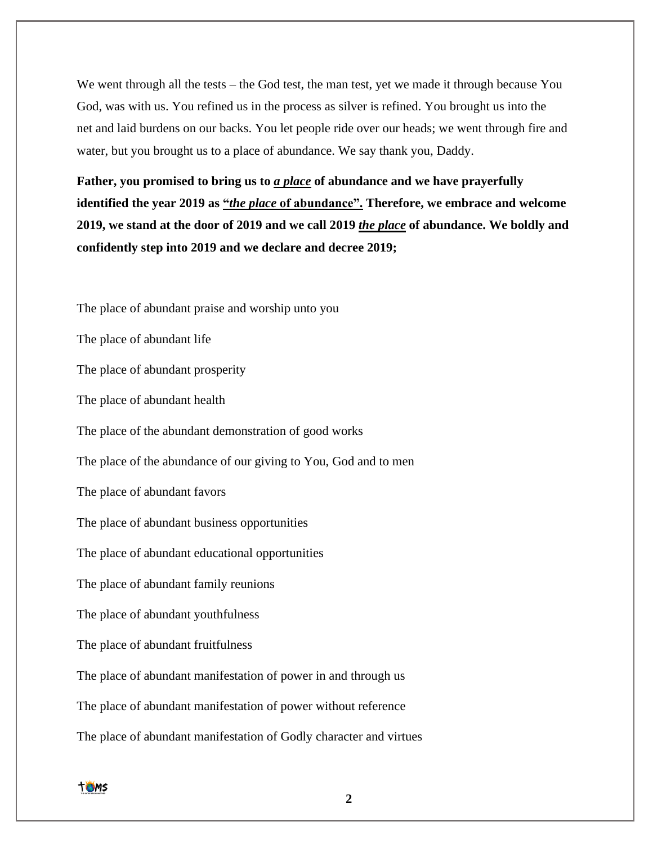We went through all the tests – the God test, the man test, yet we made it through because You God, was with us. You refined us in the process as silver is refined. You brought us into the net and laid burdens on our backs. You let people ride over our heads; we went through fire and water, but you brought us to a place of abundance. We say thank you, Daddy.

Father, you promised to bring us to <u>*a place*</u> of abundance and we have prayerfully **identified the year 2019 as "***the place* **of abundance". Therefore, we embrace and welcome 2019, we stand at the door of 2019 and we call 2019** *the place* **of abundance. We boldly and confidently step into 2019 and we declare and decree 2019;**

The place of abundant praise and worship unto you

The place of abundant life

The place of abundant prosperity

The place of abundant health

The place of the abundant demonstration of good works

The place of the abundance of our giving to You, God and to men

The place of abundant favors

The place of abundant business opportunities

The place of abundant educational opportunities

The place of abundant family reunions

The place of abundant youthfulness

The place of abundant fruitfulness

The place of abundant manifestation of power in and through us

The place of abundant manifestation of power without reference

The place of abundant manifestation of Godly character and virtues

**TOMS**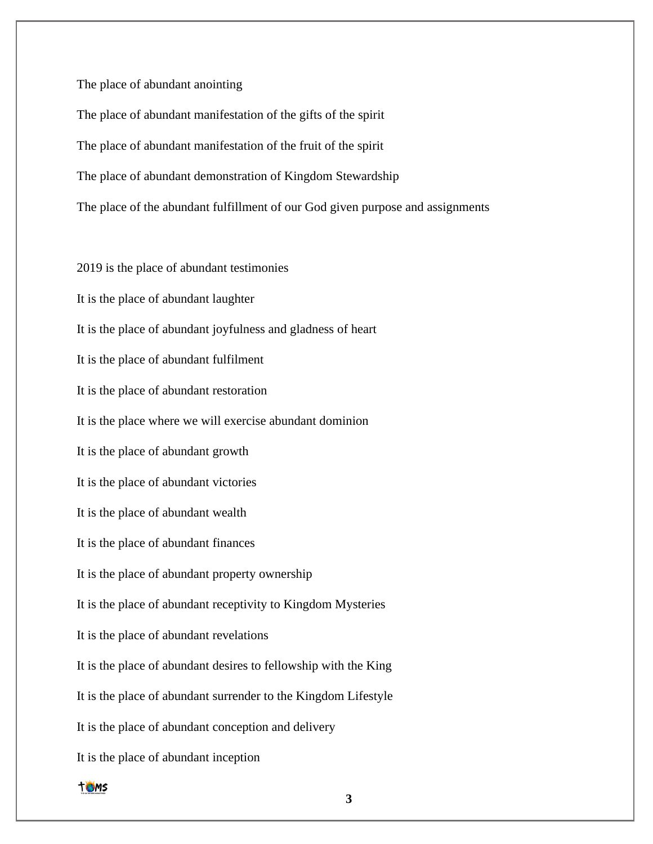The place of abundant anointing

The place of abundant manifestation of the gifts of the spirit The place of abundant manifestation of the fruit of the spirit The place of abundant demonstration of Kingdom Stewardship The place of the abundant fulfillment of our God given purpose and assignments

2019 is the place of abundant testimonies It is the place of abundant laughter It is the place of abundant joyfulness and gladness of heart It is the place of abundant fulfilment It is the place of abundant restoration It is the place where we will exercise abundant dominion It is the place of abundant growth It is the place of abundant victories It is the place of abundant wealth It is the place of abundant finances It is the place of abundant property ownership It is the place of abundant receptivity to Kingdom Mysteries It is the place of abundant revelations It is the place of abundant desires to fellowship with the King It is the place of abundant surrender to the Kingdom Lifestyle It is the place of abundant conception and delivery It is the place of abundant inception

**TOMS**